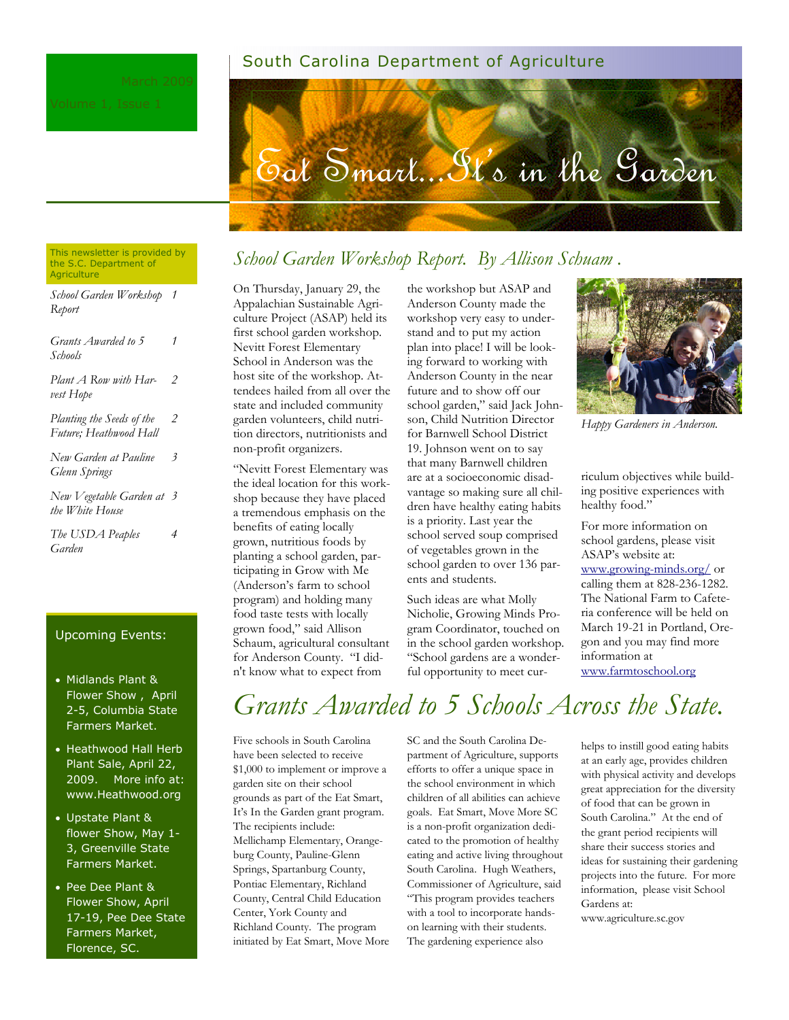#### South Carolina Department of Agriculture



#### This newsletter is provided by the S.C. Department of **Agriculture**

| School Garden Workshop 1<br>Report                  |   |
|-----------------------------------------------------|---|
| Grants Awarded to 5<br>Schools                      | 1 |
| Plant A Row with Har-<br>vest Hope                  | 2 |
| Planting the Seeds of the<br>Future; Heathwood Hall | 2 |
| New Garden at Pauline<br>Glenn Springs              | 3 |
| New Vegetable Garden at 3<br>the White House        |   |
| The USDA Peaples<br>Garden                          | 4 |

#### Upcoming Events:

- Midlands Plant & Flower Show , April 2-5, Columbia State Farmers Market.
- Heathwood Hall Herb Plant Sale, April 22, 2009. More info at: www.Heathwood.org
- Upstate Plant & flower Show, May 1- 3, Greenville State Farmers Market.
- Pee Dee Plant & Flower Show, April 17-19, Pee Dee State Farmers Market, Florence, SC.

### *School Garden Workshop Report. By Allison Schuam .*

On Thursday, January 29, the Appalachian Sustainable Agriculture Project (ASAP) held its first school garden workshop. Nevitt Forest Elementary School in Anderson was the host site of the workshop. Attendees hailed from all over the state and included community garden volunteers, child nutrition directors, nutritionists and non-profit organizers.

"Nevitt Forest Elementary was the ideal location for this workshop because they have placed a tremendous emphasis on the benefits of eating locally grown, nutritious foods by planting a school garden, participating in Grow with Me (Anderson's farm to school program) and holding many food taste tests with locally grown food," said Allison Schaum, agricultural consultant for Anderson County. "I didn't know what to expect from

the workshop but ASAP and Anderson County made the workshop very easy to understand and to put my action plan into place! I will be looking forward to working with Anderson County in the near future and to show off our school garden," said Jack Johnson, Child Nutrition Director for Barnwell School District 19. Johnson went on to say that many Barnwell children are at a socioeconomic disadvantage so making sure all children have healthy eating habits is a priority. Last year the school served soup comprised of vegetables grown in the school garden to over 136 parents and students.

Such ideas are what Molly Nicholie, Growing Minds Program Coordinator, touched on in the school garden workshop. "School gardens are a wonderful opportunity to meet cur-



*Happy Gardeners in Anderson.*

riculum objectives while building positive experiences with healthy food."

For more information on school gardens, please visit ASAP's website at: www.growing-minds.org/ or calling them at 828-236-1282. The National Farm to Cafeteria conference will be held on March 19-21 in Portland, Oregon and you may find more information at www.farmtoschool.org

*Grants Awarded to 5 Schools Across the State.*

Five schools in South Carolina have been selected to receive \$1,000 to implement or improve a garden site on their school grounds as part of the Eat Smart, It's In the Garden grant program. The recipients include: Mellichamp Elementary, Orangeburg County, Pauline-Glenn Springs, Spartanburg County, Pontiac Elementary, Richland County, Central Child Education Center, York County and Richland County. The program initiated by Eat Smart, Move More SC and the South Carolina Department of Agriculture, supports efforts to offer a unique space in the school environment in which children of all abilities can achieve goals. Eat Smart, Move More SC is a non-profit organization dedicated to the promotion of healthy eating and active living throughout South Carolina. Hugh Weathers, Commissioner of Agriculture, said "This program provides teachers with a tool to incorporate handson learning with their students. The gardening experience also

helps to instill good eating habits at an early age, provides children with physical activity and develops great appreciation for the diversity of food that can be grown in South Carolina." At the end of the grant period recipients will share their success stories and ideas for sustaining their gardening projects into the future. For more information, please visit School Gardens at: www.agriculture.sc.gov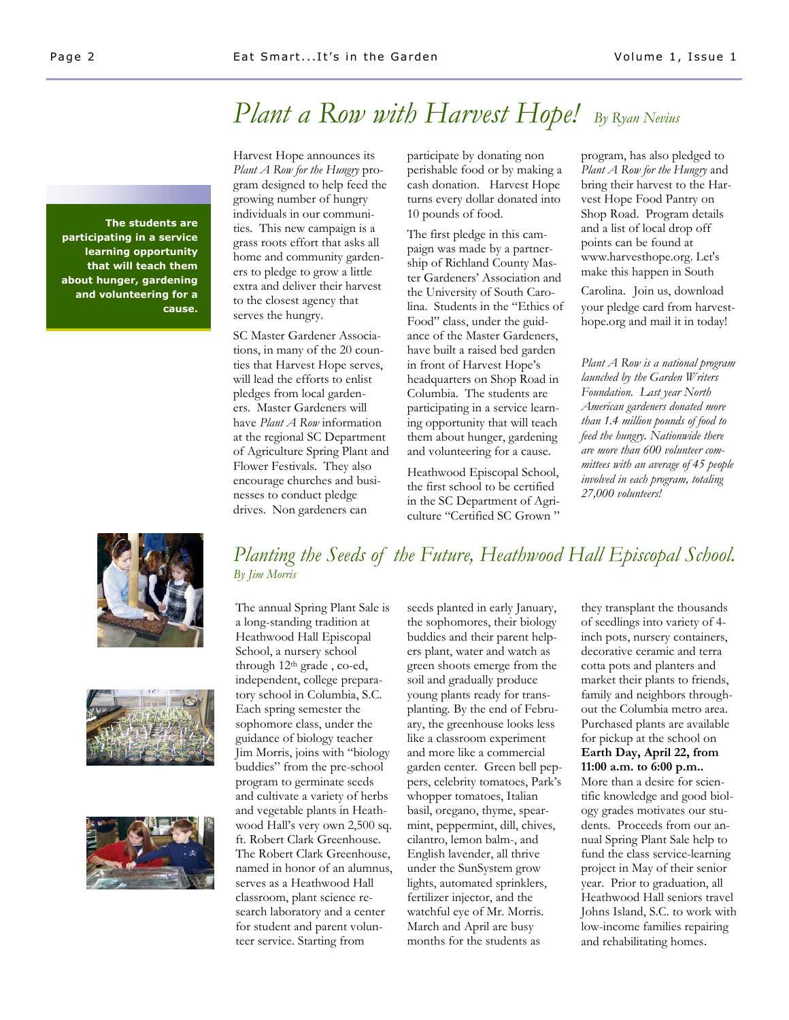## *Plant a Row with Harvest Hope! By Ryan Nevius*

**The students are participating in a service learning opportunity that will teach them about hunger, gardening and volunteering for a cause.**

Harvest Hope announces its *Plant A Row for the Hungry* program designed to help feed the growing number of hungry individuals in our communities. This new campaign is a grass roots effort that asks all home and community gardeners to pledge to grow a little extra and deliver their harvest to the closest agency that serves the hungry.

SC Master Gardener Associations, in many of the 20 counties that Harvest Hope serves, will lead the efforts to enlist pledges from local gardeners. Master Gardeners will have *Plant A Row* information at the regional SC Department of Agriculture Spring Plant and Flower Festivals. They also encourage churches and businesses to conduct pledge drives. Non gardeners can

participate by donating non perishable food or by making a cash donation. Harvest Hope turns every dollar donated into 10 pounds of food.

The first pledge in this campaign was made by a partnership of Richland County Master Gardeners' Association and the University of South Carolina. Students in the "Ethics of Food" class, under the guidance of the Master Gardeners, have built a raised bed garden in front of Harvest Hope's headquarters on Shop Road in Columbia. The students are participating in a service learning opportunity that will teach them about hunger, gardening and volunteering for a cause.

Heathwood Episcopal School, the first school to be certified in the SC Department of Agriculture "Certified SC Grown "

program, has also pledged to *Plant A Row for the Hungry* and bring their harvest to the Harvest Hope Food Pantry on Shop Road. Program details and a list of local drop off points can be found at www.harvesthope.org. Let's make this happen in South

Carolina. Join us, download your pledge card from harvesthope.org and mail it in today!

*Plant A Row is a national program launched by the Garden Writers Foundation. Last year North American gardeners donated more than 1.4 million pounds of food to feed the hungry. Nationwide there are more than 600 volunteer committees with an average of 45 people involved in each program, totaling 27,000 volunteers!*







### *Planting the Seeds of the Future, Heathwood Hall Episcopal School. By Jim Morris*

The annual Spring Plant Sale is a long-standing tradition at Heathwood Hall Episcopal School, a nursery school through 12th grade , co-ed, independent, college preparatory school in Columbia, S.C. Each spring semester the sophomore class, under the guidance of biology teacher Jim Morris, joins with "biology buddies" from the pre-school program to germinate seeds and cultivate a variety of herbs and vegetable plants in Heathwood Hall's very own 2,500 sq. ft. Robert Clark Greenhouse. The Robert Clark Greenhouse, named in honor of an alumnus, serves as a Heathwood Hall classroom, plant science research laboratory and a center for student and parent volunteer service. Starting from

seeds planted in early January, the sophomores, their biology buddies and their parent helpers plant, water and watch as green shoots emerge from the soil and gradually produce young plants ready for transplanting. By the end of February, the greenhouse looks less like a classroom experiment and more like a commercial garden center. Green bell peppers, celebrity tomatoes, Park's whopper tomatoes, Italian basil, oregano, thyme, spearmint, peppermint, dill, chives, cilantro, lemon balm-, and English lavender, all thrive under the SunSystem grow lights, automated sprinklers, fertilizer injector, and the watchful eye of Mr. Morris. March and April are busy months for the students as

they transplant the thousands of seedlings into variety of 4 inch pots, nursery containers, decorative ceramic and terra cotta pots and planters and market their plants to friends, family and neighbors throughout the Columbia metro area. Purchased plants are available for pickup at the school on **Earth Day, April 22, from 11:00 a.m. to 6:00 p.m..** More than a desire for scientific knowledge and good biology grades motivates our students. Proceeds from our annual Spring Plant Sale help to fund the class service-learning project in May of their senior year. Prior to graduation, all Heathwood Hall seniors travel Johns Island, S.C. to work with low-income families repairing

and rehabilitating homes.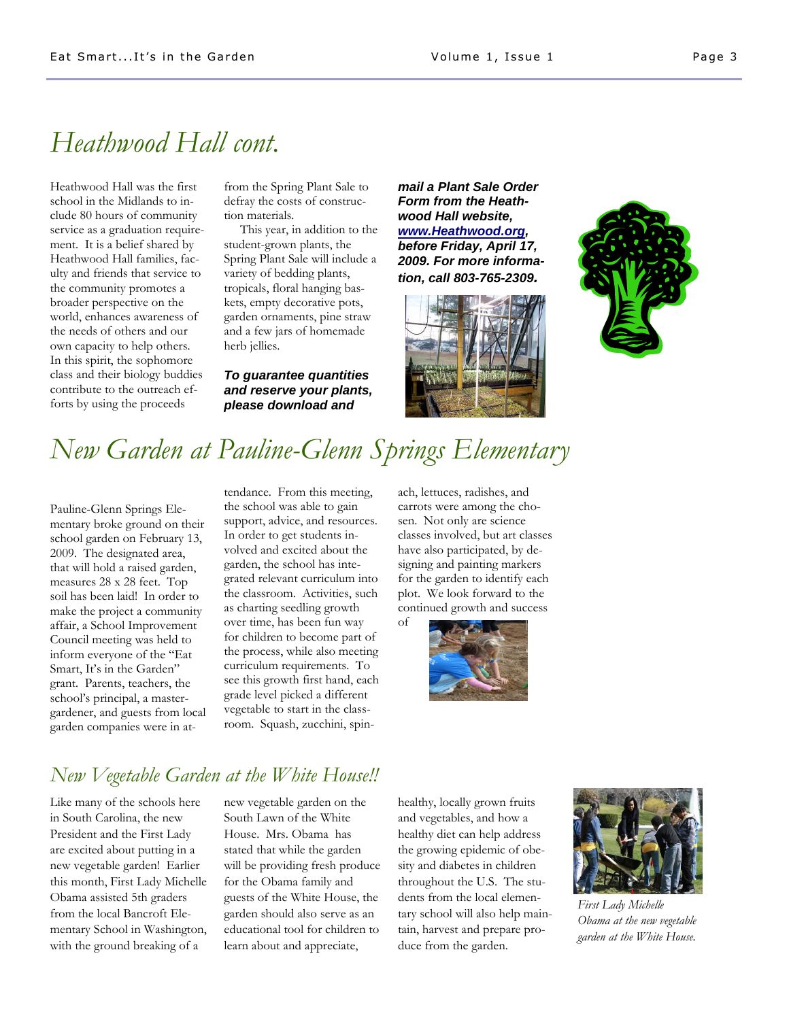# *Heathwood Hall cont.*

Heathwood Hall was the first school in the Midlands to include 80 hours of community service as a graduation requirement. It is a belief shared by Heathwood Hall families, faculty and friends that service to the community promotes a broader perspective on the world, enhances awareness of the needs of others and our own capacity to help others. In this spirit, the sophomore class and their biology buddies contribute to the outreach efforts by using the proceeds

from the Spring Plant Sale to defray the costs of construction materials.

This year, in addition to the student-grown plants, the Spring Plant Sale will include a variety of bedding plants, tropicals, floral hanging baskets, empty decorative pots, garden ornaments, pine straw and a few jars of homemade herb jellies.

*To guarantee quantities and reserve your plants, please download and*

*mail a Plant Sale Order Form from the Heathwood Hall website, www.Heathwood.org, before Friday, April 17, 2009. For more information, call 803-765-2309.*





# *New Garden at Pauline-Glenn Springs Elementary*

Pauline-Glenn Springs Elementary broke ground on their school garden on February 13, 2009. The designated area, that will hold a raised garden, measures 28 x 28 feet. Top soil has been laid! In order to make the project a community affair, a School Improvement Council meeting was held to inform everyone of the "Eat Smart, It's in the Garden" grant. Parents, teachers, the school's principal, a mastergardener, and guests from local garden companies were in attendance. From this meeting, the school was able to gain support, advice, and resources. In order to get students involved and excited about the garden, the school has integrated relevant curriculum into the classroom. Activities, such as charting seedling growth over time, has been fun way for children to become part of the process, while also meeting curriculum requirements. To see this growth first hand, each grade level picked a different vegetable to start in the classroom. Squash, zucchini, spinach, lettuces, radishes, and carrots were among the chosen. Not only are science classes involved, but art classes have also participated, by designing and painting markers for the garden to identify each plot. We look forward to the continued growth and success of



### *New Vegetable Garden at the White House!!*

Like many of the schools here in South Carolina, the new President and the First Lady are excited about putting in a new vegetable garden! Earlier this month, First Lady Michelle Obama assisted 5th graders from the local Bancroft Elementary School in Washington, with the ground breaking of a

new vegetable garden on the South Lawn of the White House. Mrs. Obama has stated that while the garden will be providing fresh produce for the Obama family and guests of the White House, the garden should also serve as an educational tool for children to learn about and appreciate,

healthy, locally grown fruits and vegetables, and how a healthy diet can help address the growing epidemic of obesity and diabetes in children throughout the U.S. The students from the local elementary school will also help maintain, harvest and prepare produce from the garden.



*First Lady Michelle Obama at the new vegetable garden at the White House.*